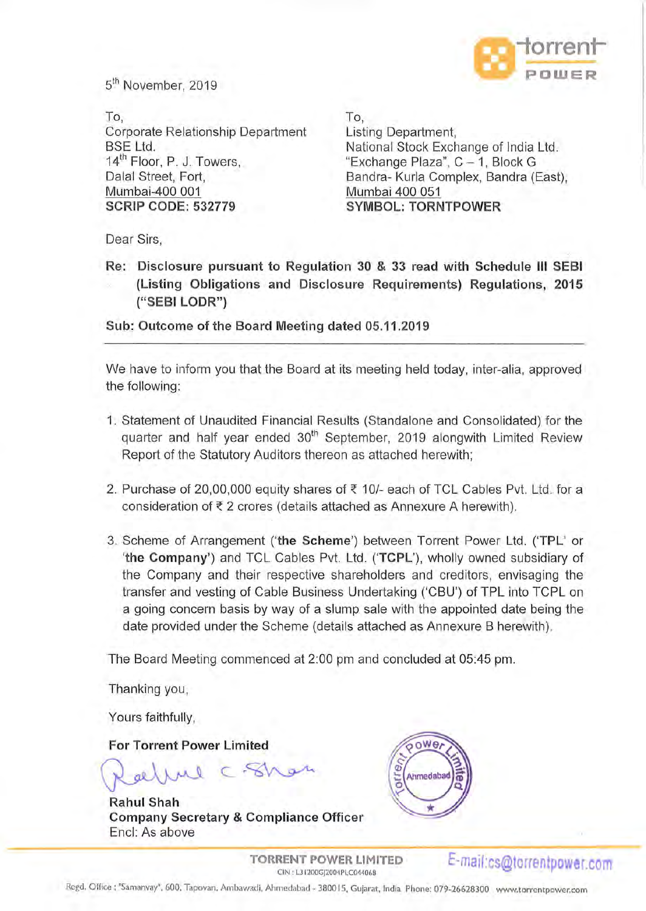

5<sup>th</sup> November, 2019

To, To, Corporate Relationship Department Listing Department, BSE Ltd. 14<sup>th</sup> Floor, P. J. Towers, Dalal Street, Fort, Mumbai-400 001 **SCRIP CODE: 532779** 

National Stock Exchange of India Ltd. "Exchange Plaza", C - 1, Block G Bandra- Kurla Complex, Bandra (East), Mumbai 400 051 **SYMBOL: TORNTPOWER** 

Dear Sirs,

**Re: Disclosure pursuant to Regulation 30** & 33 **read with Schedule Ill SEBI (Listing Obligations and Disclosure Requirements) Regulations, 2015 ("SEBI LODR")** 

**Sub: Outcome of the Board Meeting dated 05.11.2019** 

We have to inform you that the Board at its meeting held today, inter-alia, approved the following:

- 1. Statement of Unaudited Financial Results (Standalone and Consolidated) for the quarter and half year ended 30<sup>th</sup> September, 2019 alongwith Limited Review Report of the Statutory Auditors thereon as attached herewith;
- 2. Purchase of 20,00,000 equity shares of  $\overline{\epsilon}$  10/- each of TCL Cables Pvt. Ltd. for a consideration of  $\bar{\tau}$  2 crores (details attached as Annexure A herewith).
- 3. Scheme of Arrangement **('the Scheme')** between Torrent Power Ltd. **('TPL'** or 'the Company') and TCL Cables Pvt. Ltd. ('TCPL'), wholly owned subsidiary of the Company and their respective shareholders and creditors, envisaging the transfer and vesting of Cable Business Undertaking ('CBU') of TPL into TCPL on a going concern basis by way of a slump sale with the appointed date being the date provided under the Scheme (details attached as Annexure B herewith).

The Board Meeting commenced at 2:00 pm and concluded at 05:45 pm.

Thanking you,

Yours faithfully,

**For Torrent Power Limited** 

Rallue C. Shar

**Rahul Shah Company Secretary & Compliance Officer**  Encl: As above



**TORRENT POWER LIMITED**  RENT POWER LIMITED **E-mail:cs@torrentpower.com** 

Regd. Office : "Samanvay", 600, Tapovan, Ambawadi, Ahmedabad - 3800 15, Gujarat, India Phone: 079-26628300 www.torrentpower.com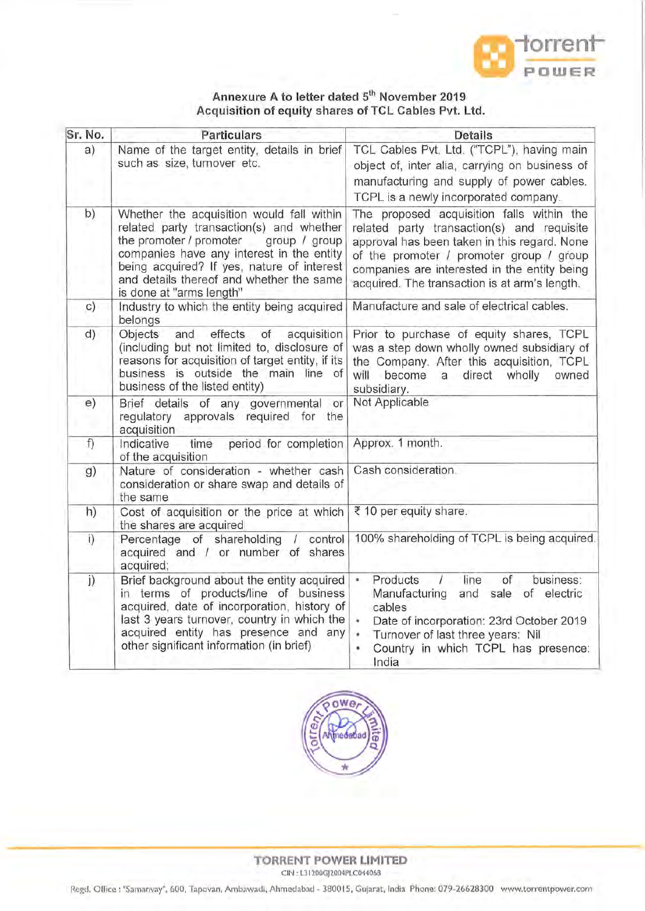

## Annexure A to letter dated 5<sup>th</sup> November 2019 **Acq uisition of equity shares of TCL Cables Pvt. Ltd.**

| Sr. No. | <b>Particulars</b>                                                                                                                                                                                                                                                                                   | <b>Details</b>                                                                                                                                                                                                                                                                       |
|---------|------------------------------------------------------------------------------------------------------------------------------------------------------------------------------------------------------------------------------------------------------------------------------------------------------|--------------------------------------------------------------------------------------------------------------------------------------------------------------------------------------------------------------------------------------------------------------------------------------|
| a)      | Name of the target entity, details in brief<br>such as size, turnover etc.                                                                                                                                                                                                                           | TCL Cables Pvt. Ltd. ("TCPL"), having main<br>object of, inter alia, carrying on business of<br>manufacturing and supply of power cables.<br>TCPL is a newly incorporated company.                                                                                                   |
| b)      | Whether the acquisition would fall within<br>related party transaction(s) and whether<br>the promoter / promoter<br>group / group<br>companies have any interest in the entity<br>being acquired? If yes, nature of interest<br>and details thereof and whether the same<br>is done at "arms length" | The proposed acquisition falls within the<br>related party transaction(s) and requisite<br>approval has been taken in this regard. None<br>of the promoter / promoter group / group<br>companies are interested in the entity being<br>acquired. The transaction is at arm's length. |
| c)      | Industry to which the entity being acquired<br>belongs                                                                                                                                                                                                                                               | Manufacture and sale of electrical cables.                                                                                                                                                                                                                                           |
| d)      | Objects<br>and<br>effects<br>of<br>acquisition<br>(including but not limited to, disclosure of<br>reasons for acquisition of target entity, if its<br>business is outside the main line of<br>business of the listed entity)                                                                         | Prior to purchase of equity shares, TCPL<br>was a step down wholly owned subsidiary of<br>the Company. After this acquisition, TCPL<br>will<br>direct<br>become<br>a<br>wholly<br>owned<br>subsidiary.                                                                               |
| e)      | Brief details of any governmental<br>or<br>regulatory approvals required for the<br>acquisition                                                                                                                                                                                                      | Not Applicable                                                                                                                                                                                                                                                                       |
| f)      | Indicative<br>period for completion<br>time<br>of the acquisition                                                                                                                                                                                                                                    | Approx. 1 month.                                                                                                                                                                                                                                                                     |
| g)      | Nature of consideration - whether cash<br>consideration or share swap and details of<br>the same                                                                                                                                                                                                     | Cash consideration.                                                                                                                                                                                                                                                                  |
| h)      | Cost of acquisition or the price at which<br>the shares are acquired                                                                                                                                                                                                                                 | ₹ 10 per equity share.                                                                                                                                                                                                                                                               |
| i)      | Percentage of shareholding<br>control<br>$\sqrt{2}$<br>acquired and / or number of shares<br>acquired;                                                                                                                                                                                               | 100% shareholding of TCPL is being acquired.                                                                                                                                                                                                                                         |
| j)      | Brief background about the entity acquired<br>in terms of products/line of business<br>acquired, date of incorporation, history of<br>last 3 years turnover, country in which the<br>acquired entity has presence and any<br>other significant information (in brief)                                | Products<br>business:<br>line<br>of<br>ä.<br>$\sqrt{ }$<br>Manufacturing<br>and<br>sale of electric<br>cables<br>Date of incorporation: 23rd October 2019<br>Turnover of last three years: Nil<br>Country in which TCPL has presence:<br>India                                       |



**TORRENT POWER LIMITED**  CIN : L3 I 200GJ2004PLC04406B

Regd. O ffice: "Samanvay", 600, Tapovan, Ambawadi, Ahmedabad - 380015, Gujarat, India Phone: 079-26628300 www.torrentpower.com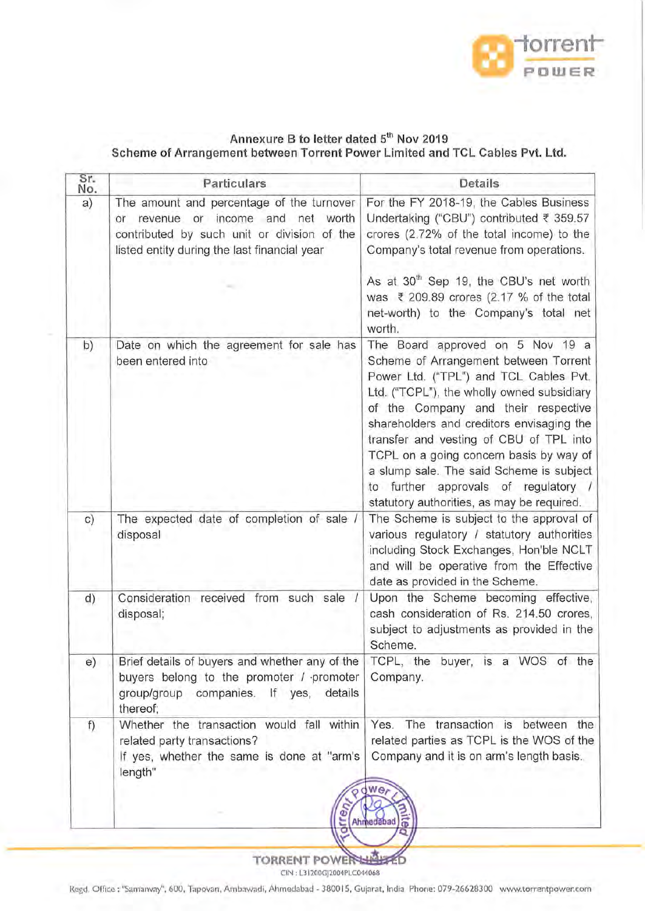

## Annexure B to letter dated 5<sup>th</sup> Nov 2019 **Scheme of Arrangement between Torrent Power Limited and TCL Cables Pvt. Ltd.**

| Particulars                                                                                                                                                                       | Details                                                                                                                                                                                                                                                                                                                                                                                                                                                                     |
|-----------------------------------------------------------------------------------------------------------------------------------------------------------------------------------|-----------------------------------------------------------------------------------------------------------------------------------------------------------------------------------------------------------------------------------------------------------------------------------------------------------------------------------------------------------------------------------------------------------------------------------------------------------------------------|
| The amount and percentage of the turnover<br>revenue or income and net worth<br>or<br>contributed by such unit or division of the<br>listed entity during the last financial year | For the FY 2018-19, the Cables Business<br>Undertaking ("CBU") contributed ₹ 359.57<br>crores (2.72% of the total income) to the<br>Company's total revenue from operations.<br>As at 30 <sup>th</sup> Sep 19, the CBU's net worth                                                                                                                                                                                                                                          |
|                                                                                                                                                                                   | was ₹ 209.89 crores (2.17 % of the total<br>net-worth) to the Company's total net<br>worth.                                                                                                                                                                                                                                                                                                                                                                                 |
| Date on which the agreement for sale has<br>been entered into                                                                                                                     | The Board approved on 5 Nov 19 a<br>Scheme of Arrangement between Torrent<br>Power Ltd. ("TPL") and TCL Cables Pvt.<br>Ltd. ("TCPL"), the wholly owned subsidiary<br>of the Company and their respective<br>shareholders and creditors envisaging the<br>transfer and vesting of CBU of TPL into<br>TCPL on a going concern basis by way of<br>a slump sale. The said Scheme is subject<br>to further approvals of regulatory<br>statutory authorities, as may be required. |
| The expected date of completion of sale /<br>disposal                                                                                                                             | The Scheme is subject to the approval of<br>various regulatory / statutory authorities<br>including Stock Exchanges, Hon'ble NCLT<br>and will be operative from the Effective<br>date as provided in the Scheme.                                                                                                                                                                                                                                                            |
| Consideration received from such sale /<br>disposal;                                                                                                                              | Upon the Scheme becoming effective,<br>cash consideration of Rs. 214.50 crores,<br>subject to adjustments as provided in the<br>Scheme.                                                                                                                                                                                                                                                                                                                                     |
| Brief details of buyers and whether any of the<br>thereof;                                                                                                                        | TCPL, the buyer, is a WOS of the<br>Company.                                                                                                                                                                                                                                                                                                                                                                                                                                |
| Whether the transaction would fall within<br>related party transactions?<br>length"                                                                                               | Yes. The transaction is between the<br>related parties as TCPL is the WOS of the<br>Company and it is on arm's length basis.<br>we,                                                                                                                                                                                                                                                                                                                                         |
|                                                                                                                                                                                   | buyers belong to the promoter / promoter<br>group/group companies. If yes, details<br>If yes, whether the same is done at "arm's                                                                                                                                                                                                                                                                                                                                            |

TORRENT POWER CIN: L31200GJ2004PLC044068